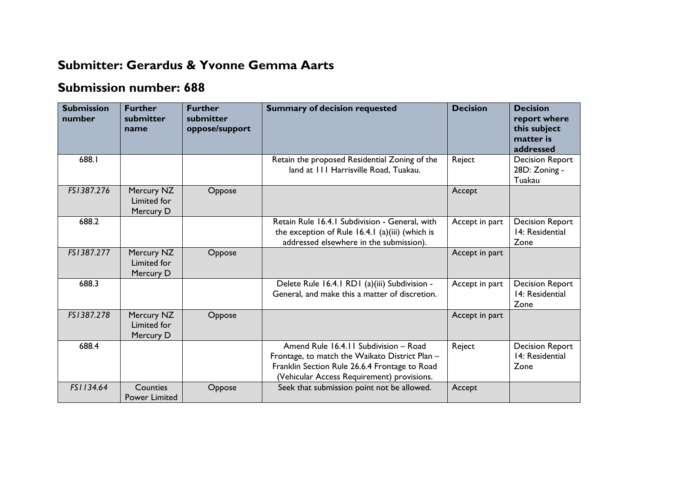## **Submitter: Gerardus & Yvonne Gemma Aarts**

## **Submission number: 688**

| <b>Submission</b><br>number | <b>Further</b><br>submitter<br>name    | <b>Further</b><br>submitter<br>oppose/support | <b>Summary of decision requested</b>                                                                                                                                                   | <b>Decision</b> | <b>Decision</b><br>report where<br>this subject<br>matter is<br>addressed |
|-----------------------------|----------------------------------------|-----------------------------------------------|----------------------------------------------------------------------------------------------------------------------------------------------------------------------------------------|-----------------|---------------------------------------------------------------------------|
| 688.I                       |                                        |                                               | Retain the proposed Residential Zoning of the<br>land at 111 Harrisville Road, Tuakau.                                                                                                 | Reject          | <b>Decision Report</b><br>28D: Zoning -<br>Tuakau                         |
| FS1387.276                  | Mercury NZ<br>Limited for<br>Mercury D | Oppose                                        |                                                                                                                                                                                        | Accept          |                                                                           |
| 688.2                       |                                        |                                               | Retain Rule 16.4.1 Subdivision - General, with<br>the exception of Rule 16.4.1 (a)(iii) (which is<br>addressed elsewhere in the submission).                                           | Accept in part  | <b>Decision Report</b><br>14: Residential<br>Zone                         |
| FS1387.277                  | Mercury NZ<br>Limited for<br>Mercury D | Oppose                                        |                                                                                                                                                                                        | Accept in part  |                                                                           |
| 688.3                       |                                        |                                               | Delete Rule 16.4.1 RD1 (a)(iii) Subdivision -<br>General, and make this a matter of discretion.                                                                                        | Accept in part  | <b>Decision Report</b><br>14: Residential<br>Zone                         |
| FS1387.278                  | Mercury NZ<br>Limited for<br>Mercury D | Oppose                                        |                                                                                                                                                                                        | Accept in part  |                                                                           |
| 688.4                       |                                        |                                               | Amend Rule 16.4.11 Subdivision - Road<br>Frontage, to match the Waikato District Plan -<br>Franklin Section Rule 26.6.4 Frontage to Road<br>(Vehicular Access Requirement) provisions. | Reject          | <b>Decision Report</b><br>14: Residential<br>Zone                         |
| FS1134.64                   | Counties<br><b>Power Limited</b>       | Oppose                                        | Seek that submission point not be allowed.                                                                                                                                             | Accept          |                                                                           |